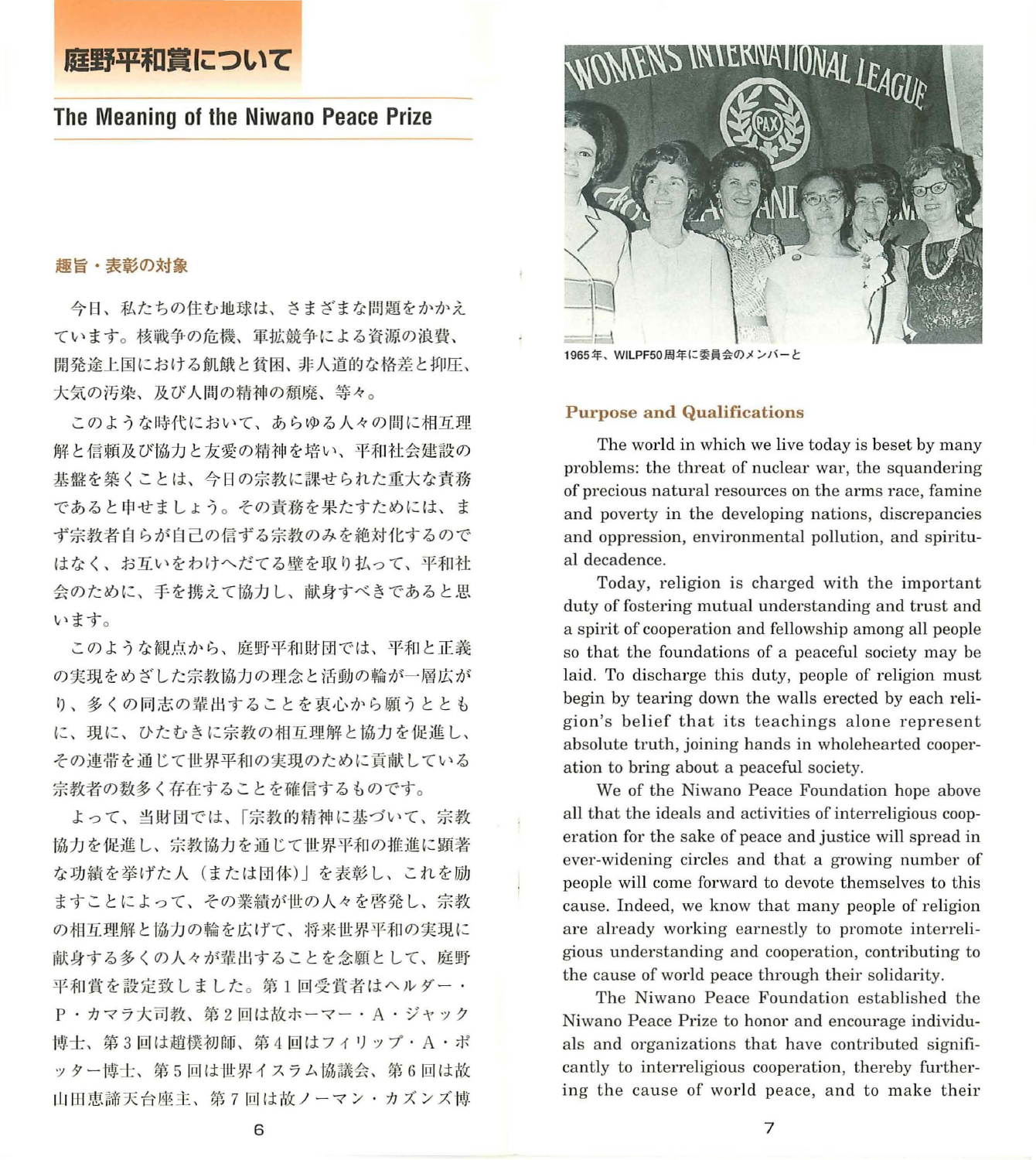# 庭野平和賞について

# The Meaning of the Niwano Peace Prize

#### 趣旨・表彰の対象

今日、私たちの住む地球は、さまざまな問題をかかえ ています。核戦争の危機、軍拡競争による資源の浪費、 開発途上国における飢餓と貧困、非人道的な格差と抑圧、 大気の汚染、及び人間の精神の顔廃、等々。

このような時代において、あらゆる人々の間に相互理 解と信頼及び協力と友愛の精神を培い、平和社会建設の 基盤を築くことは、今日の宗教に謀せられた重大な責務 であると申せましょう。その責務を果たすためには、ま ず宗教者自らが自己の信ずる宗教のみを絶対化するので はなく、お互いをわけへだてる壁を取り払って、平和社 会のために、手を携えて協力し、献身すべきであると思 います。

このような観点から、庭野平和財団では、平和と正義 の実現をめざした宗教協力の理念と活動の輸が一層広が り、多くの同志の輩出することを衷心から願うととも に、現に、ひたむきに宗教の相互理解と協力を促進し、 その連帯を通じて世界平和の実現のために貢献している 宗教者の数多く存在することを雌信するものです。

よって、当財団では、「宗教的精神に基づいて、宗教 協力を促進し、宗教協力を通じて世界平和の推進に顕著 な功績を挙げた人(または団体)」を表彰し、これを励 ますことによって、その業績が世の人々を啓発し、宗教 の相互理解と協力の輪を広げて、将来世界平和の実現に 献身する多くの人々が輩出することを念願として、庭野 平和賞を設定致しました。第1回受賞者はヘルダー· P·カマラ大司教、第2回は故ホーマー・A·ジャック 博士、第3回は趙樸初師、第4回はフィリップ·A·ポ ッター博士、第5回は世界イスラム協議会、第6回は故 山田恵諦天台座主、第7回は故ノーマン・カズンズ博



<sup>1965</sup> 年、 WILPF50 周年に委員会のメンバーと

## Purpose and Qualifications

The world in which we live today is beset by many problems: the threat of nuclear war, the squandering of precious natural resources on the arms race, famine and poverty in the developing nations, discrepancies and oppression, environmental pollution, and spiritual decadence.

Today, religion is charged with the important duty of fostering mutual understanding and trust and a spirit of cooperation and fellowship among all people so that the foundations of a peaceful society may be laid. To discharge this duty, people of religion must begin by tearing down the walls erected by each religion's belief that its teachings alone represent absolute truth, joining hands in wholehearted cooperation to bring about a peaceful society.

We of the Niwano Peace Foundation hope above all that the ideals and activities of interreligious cooperation for the sake of peace and justice will spread in ever-widening circles and that a growing number of people will come forward to devote themselves to this cause. Indeed, we know that many people of religion are already working earnestly to promote interreligious understanding and cooperation, contributing to the cause of world peace through their solidarity.

The Niwano Peace Foundation established the Niwano Peace Prize to honor and encourage individuals and organizations that have contributed significantly to interreligious cooperation, thereby furthering the cause of world peace, and to make their

6